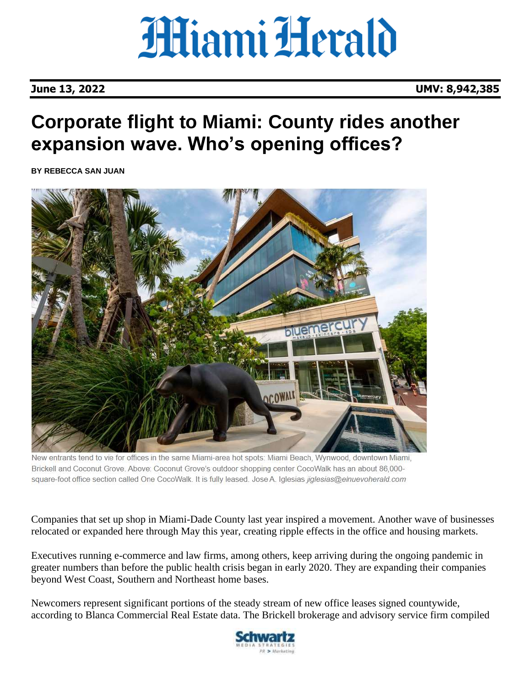**June 13, 2022 UMV: 8,942,385**

### **Corporate flight to Miami: County rides another expansion wave. Who's opening offices?**

**[BY REBECCA SAN JUAN](mailto:rsanjuan@miamiherald.com)**



New entrants tend to vie for offices in the same Miami-area hot spots: Miami Beach, Wynwood, downtown Miami, Brickell and Coconut Grove. Above: Coconut Grove's outdoor shopping center CocoWalk has an about 86,000square-foot office section called One CocoWalk. It is fully leased. Jose A. Iglesias jiglesias@elnuevoherald.com

Companies that set up shop in Miami-Dade County last year inspired a movement. Another wave of businesses relocated or expanded here through May this year, creating ripple effects in the office and housing markets.

Executives running e-commerce and law firms, among others, keep arriving during the ongoing pandemic in greater numbers than before the public health crisis began in early 2020. They are expanding their companies beyond West Coast, Southern and Northeast home bases.

Newcomers represent significant portions of the steady stream of new office leases signed countywide, according to Blanca Commercial Real Estate data. The Brickell brokerage and advisory service firm compiled

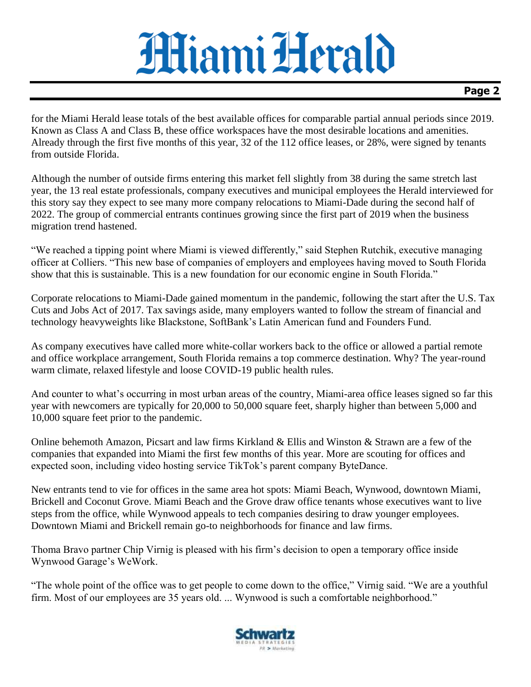#### **Page 2**

for the Miami Herald lease totals of the best available offices for comparable partial annual periods since 2019. Known as Class A and Class B, these office workspaces have the most desirable locations and amenities. Already through the first five months of this year, 32 of the 112 office leases, or 28%, were signed by tenants from outside Florida.

Although the number of outside firms entering this market fell slightly from 38 during the same stretch last year, the 13 real estate professionals, company executives and municipal employees the Herald interviewed for this story say they expect to see many more company relocations to Miami-Dade during the second half of 2022. The group of commercial entrants continues growing since the first part of 2019 when the business migration trend hastened.

"We reached a tipping point where Miami is viewed differently," said Stephen Rutchik, executive managing officer at Colliers. "This new base of companies of employers and employees having moved to South Florida show that this is sustainable. This is a new foundation for our economic engine in South Florida."

Corporate relocations to Miami-Dade gained momentum in the pandemic, following the start after the U.S. Tax Cuts and Jobs Act of 2017. Tax savings aside, many employers wanted to follow the stream of financial and technology heavyweights like Blackstone, SoftBank's Latin American fund and Founders Fund.

As company executives have called more white-collar workers back to the office or allowed a partial remote and office workplace arrangement, South Florida remains a top commerce destination. Why? The year-round warm climate, relaxed lifestyle and loose COVID-19 public health rules.

And counter to what's occurring in most urban areas of the country, Miami-area office leases signed so far this year with newcomers are typically for 20,000 to 50,000 square feet, sharply higher than between 5,000 and 10,000 square feet prior to the pandemic.

Online behemoth Amazon, Picsart and law firms Kirkland & Ellis and Winston & Strawn are a few of the companies that expanded into Miami the first few months of this year. More are scouting for offices and expected soon, including video hosting service TikTok's parent company ByteDance.

New entrants tend to vie for offices in the same area hot spots: Miami Beach, Wynwood, downtown Miami, Brickell and Coconut Grove. Miami Beach and the Grove draw office tenants whose executives want to live steps from the office, while Wynwood appeals to tech companies desiring to draw younger employees. Downtown Miami and Brickell remain go-to neighborhoods for finance and law firms.

Thoma Bravo partner Chip Virnig is pleased with his firm's decision to open a temporary office inside Wynwood Garage's WeWork.

"The whole point of the office was to get people to come down to the office," Virnig said. "We are a youthful firm. Most of our employees are 35 years old. ... Wynwood is such a comfortable neighborhood."

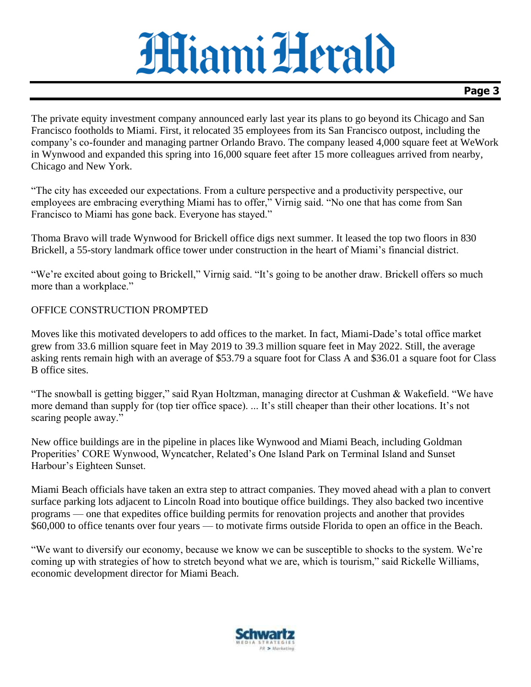### **Page 3**

The private equity investment company announced early last year its plans to go beyond its Chicago and San Francisco footholds to Miami. First, it relocated 35 employees from its San Francisco outpost, including the company's co-founder and managing partner Orlando Bravo. The company leased 4,000 square feet at WeWork in Wynwood and expanded this spring into 16,000 square feet after 15 more colleagues arrived from nearby, Chicago and New York.

"The city has exceeded our expectations. From a culture perspective and a productivity perspective, our employees are embracing everything Miami has to offer," Virnig said. "No one that has come from San Francisco to Miami has gone back. Everyone has stayed."

Thoma Bravo will trade Wynwood for Brickell office digs next summer. It leased the top two floors in 830 Brickell, a 55-story landmark office tower under construction in the heart of Miami's financial district.

"We're excited about going to Brickell," Virnig said. "It's going to be another draw. Brickell offers so much more than a workplace."

#### OFFICE CONSTRUCTION PROMPTED

Moves like this motivated developers to add offices to the market. In fact, Miami-Dade's total office market grew from 33.6 million square feet in May 2019 to 39.3 million square feet in May 2022. Still, the average asking rents remain high with an average of \$53.79 a square foot for Class A and \$36.01 a square foot for Class B office sites.

"The snowball is getting bigger," said Ryan Holtzman, managing director at Cushman & Wakefield. "We have more demand than supply for (top tier office space). ... It's still cheaper than their other locations. It's not scaring people away."

New office buildings are in the pipeline in places like Wynwood and Miami Beach, including Goldman Properities' CORE Wynwood, Wyncatcher, Related's One Island Park on Terminal Island and Sunset Harbour's Eighteen Sunset.

Miami Beach officials have taken an extra step to attract companies. They moved ahead with a plan to convert surface parking lots adjacent to Lincoln Road into boutique office buildings. They also backed two incentive programs — one that expedites office building permits for renovation projects and another that provides \$60,000 to office tenants over four years — to motivate firms outside Florida to open an office in the Beach.

"We want to diversify our economy, because we know we can be susceptible to shocks to the system. We're coming up with strategies of how to stretch beyond what we are, which is tourism," said Rickelle Williams, economic development director for Miami Beach.

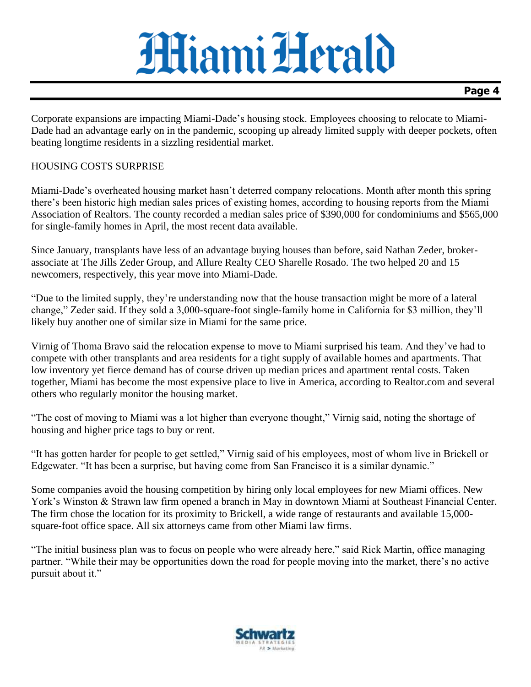#### **Page 4**

Corporate expansions are impacting Miami-Dade's housing stock. Employees choosing to relocate to Miami-Dade had an advantage early on in the pandemic, scooping up already limited supply with deeper pockets, often beating longtime residents in a sizzling residential market.

#### HOUSING COSTS SURPRISE

Miami-Dade's overheated housing market hasn't deterred company relocations. Month after month this spring there's been historic high median sales prices of existing homes, according to housing reports from the Miami Association of Realtors. The county recorded a median sales price of \$390,000 for condominiums and \$565,000 for single-family homes in April, the most recent data available.

Since January, transplants have less of an advantage buying houses than before, said Nathan Zeder, brokerassociate at The Jills Zeder Group, and Allure Realty CEO Sharelle Rosado. The two helped 20 and 15 newcomers, respectively, this year move into Miami-Dade.

"Due to the limited supply, they're understanding now that the house transaction might be more of a lateral change," Zeder said. If they sold a 3,000-square-foot single-family home in California for \$3 million, they'll likely buy another one of similar size in Miami for the same price.

Virnig of Thoma Bravo said the relocation expense to move to Miami surprised his team. And they've had to compete with other transplants and area residents for a tight supply of available homes and apartments. That low inventory yet fierce demand has of course driven up median prices and apartment rental costs. Taken together, Miami has become the most expensive place to live in America, according to Realtor.com and several others who regularly monitor the housing market.

"The cost of moving to Miami was a lot higher than everyone thought," Virnig said, noting the shortage of housing and higher price tags to buy or rent.

"It has gotten harder for people to get settled," Virnig said of his employees, most of whom live in Brickell or Edgewater. "It has been a surprise, but having come from San Francisco it is a similar dynamic."

Some companies avoid the housing competition by hiring only local employees for new Miami offices. New York's Winston & Strawn law firm opened a branch in May in downtown Miami at Southeast Financial Center. The firm chose the location for its proximity to Brickell, a wide range of restaurants and available 15,000 square-foot office space. All six attorneys came from other Miami law firms.

"The initial business plan was to focus on people who were already here," said Rick Martin, office managing partner. "While their may be opportunities down the road for people moving into the market, there's no active pursuit about it."